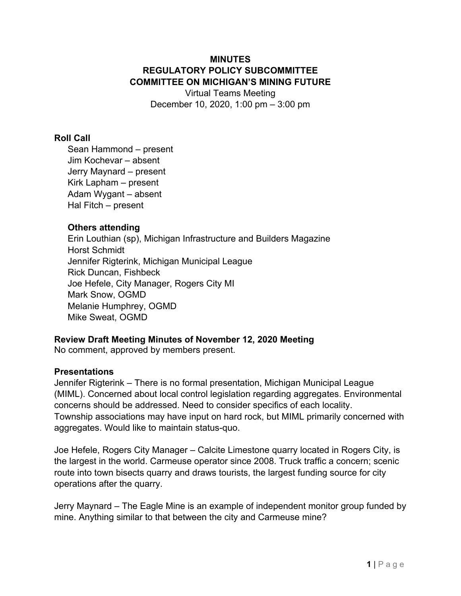# **MINUTES REGULATORY POLICY SUBCOMMITTEE COMMITTEE ON MICHIGAN'S MINING FUTURE**

Virtual Teams Meeting December 10, 2020, 1:00 pm – 3:00 pm

## **Roll Call**

Sean Hammond – present Jim Kochevar – absent Jerry Maynard – present Kirk Lapham – present Adam Wygant – absent Hal Fitch – present

## **Others attending**

Erin Louthian (sp), Michigan Infrastructure and Builders Magazine Horst Schmidt Jennifer Rigterink, Michigan Municipal League Rick Duncan, Fishbeck Joe Hefele, City Manager, Rogers City MI Mark Snow, OGMD Melanie Humphrey, OGMD Mike Sweat, OGMD

# **Review Draft Meeting Minutes of November 12, 2020 Meeting**

No comment, approved by members present.

### **Presentations**

Jennifer Rigterink – There is no formal presentation, Michigan Municipal League (MIML). Concerned about local control legislation regarding aggregates. Environmental concerns should be addressed. Need to consider specifics of each locality. Township associations may have input on hard rock, but MIML primarily concerned with aggregates. Would like to maintain status-quo.

Joe Hefele, Rogers City Manager – Calcite Limestone quarry located in Rogers City, is the largest in the world. Carmeuse operator since 2008. Truck traffic a concern; scenic route into town bisects quarry and draws tourists, the largest funding source for city operations after the quarry.

Jerry Maynard – The Eagle Mine is an example of independent monitor group funded by mine. Anything similar to that between the city and Carmeuse mine?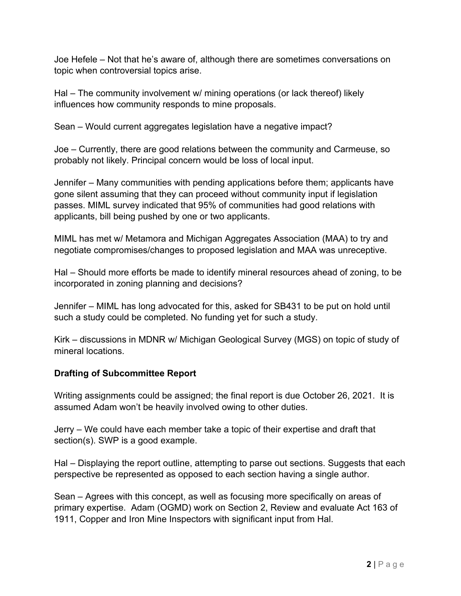Joe Hefele – Not that he's aware of, although there are sometimes conversations on topic when controversial topics arise.

Hal – The community involvement w/ mining operations (or lack thereof) likely influences how community responds to mine proposals.

Sean – Would current aggregates legislation have a negative impact?

Joe – Currently, there are good relations between the community and Carmeuse, so probably not likely. Principal concern would be loss of local input.

Jennifer – Many communities with pending applications before them; applicants have gone silent assuming that they can proceed without community input if legislation passes. MIML survey indicated that 95% of communities had good relations with applicants, bill being pushed by one or two applicants.

MIML has met w/ Metamora and Michigan Aggregates Association (MAA) to try and negotiate compromises/changes to proposed legislation and MAA was unreceptive.

Hal – Should more efforts be made to identify mineral resources ahead of zoning, to be incorporated in zoning planning and decisions?

Jennifer – MIML has long advocated for this, asked for SB431 to be put on hold until such a study could be completed. No funding yet for such a study.

Kirk – discussions in MDNR w/ Michigan Geological Survey (MGS) on topic of study of mineral locations.

# **Drafting of Subcommittee Report**

Writing assignments could be assigned; the final report is due October 26, 2021. It is assumed Adam won't be heavily involved owing to other duties.

Jerry – We could have each member take a topic of their expertise and draft that section(s). SWP is a good example.

Hal – Displaying the report outline, attempting to parse out sections. Suggests that each perspective be represented as opposed to each section having a single author.

Sean – Agrees with this concept, as well as focusing more specifically on areas of primary expertise. Adam (OGMD) work on Section 2, Review and evaluate Act 163 of 1911, Copper and Iron Mine Inspectors with significant input from Hal.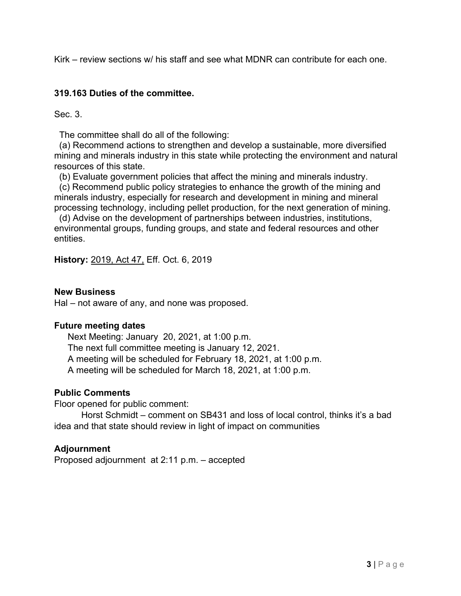Kirk – review sections w/ his staff and see what MDNR can contribute for each one.

### **319.163 Duties of the committee.**

Sec. 3.

The committee shall do all of the following:

 (a) Recommend actions to strengthen and develop a sustainable, more diversified mining and minerals industry in this state while protecting the environment and natural resources of this state.

(b) Evaluate government policies that affect the mining and minerals industry.

 (c) Recommend public policy strategies to enhance the growth of the mining and minerals industry, especially for research and development in mining and mineral processing technology, including pellet production, for the next generation of mining.

 (d) Advise on the development of partnerships between industries, institutions, environmental groups, funding groups, and state and federal resources and other entities.

**History:** 2019, Act 47, Eff. Oct. 6, 2019

#### **New Business**

Hal – not aware of any, and none was proposed.

#### **Future meeting dates**

Next Meeting: January 20, 2021, at 1:00 p.m.

The next full committee meeting is January 12, 2021.

A meeting will be scheduled for February 18, 2021, at 1:00 p.m.

A meeting will be scheduled for March 18, 2021, at 1:00 p.m.

### **Public Comments**

Floor opened for public comment:

 Horst Schmidt – comment on SB431 and loss of local control, thinks it's a bad idea and that state should review in light of impact on communities

### **Adjournment**

Proposed adjournment at 2:11 p.m. – accepted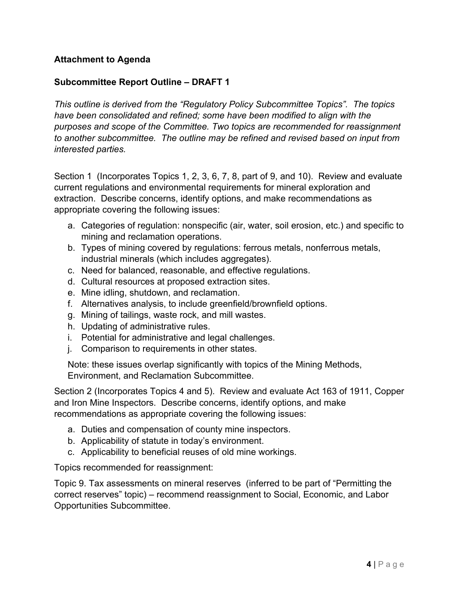# **Attachment to Agenda**

## **Subcommittee Report Outline – DRAFT 1**

*This outline is derived from the "Regulatory Policy Subcommittee Topics". The topics have been consolidated and refined; some have been modified to align with the purposes and scope of the Committee. Two topics are recommended for reassignment to another subcommittee. The outline may be refined and revised based on input from interested parties.* 

Section 1 (Incorporates Topics 1, 2, 3, 6, 7, 8, part of 9, and 10). Review and evaluate current regulations and environmental requirements for mineral exploration and extraction. Describe concerns, identify options, and make recommendations as appropriate covering the following issues:

- a. Categories of regulation: nonspecific (air, water, soil erosion, etc.) and specific to mining and reclamation operations.
- b. Types of mining covered by regulations: ferrous metals, nonferrous metals, industrial minerals (which includes aggregates).
- c. Need for balanced, reasonable, and effective regulations.
- d. Cultural resources at proposed extraction sites.
- e. Mine idling, shutdown, and reclamation.
- f. Alternatives analysis, to include greenfield/brownfield options.
- g. Mining of tailings, waste rock, and mill wastes.
- h. Updating of administrative rules.
- i. Potential for administrative and legal challenges.
- j. Comparison to requirements in other states.

Note: these issues overlap significantly with topics of the Mining Methods, Environment, and Reclamation Subcommittee.

Section 2 (Incorporates Topics 4 and 5). Review and evaluate Act 163 of 1911, Copper and Iron Mine Inspectors. Describe concerns, identify options, and make recommendations as appropriate covering the following issues:

- a. Duties and compensation of county mine inspectors.
- b. Applicability of statute in today's environment.
- c. Applicability to beneficial reuses of old mine workings.

Topics recommended for reassignment:

Topic 9. Tax assessments on mineral reserves (inferred to be part of "Permitting the correct reserves" topic) – recommend reassignment to Social, Economic, and Labor Opportunities Subcommittee.